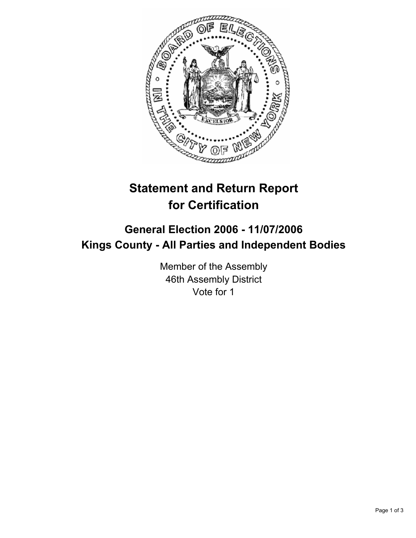

## **Statement and Return Report for Certification**

## **General Election 2006 - 11/07/2006 Kings County - All Parties and Independent Bodies**

Member of the Assembly 46th Assembly District Vote for 1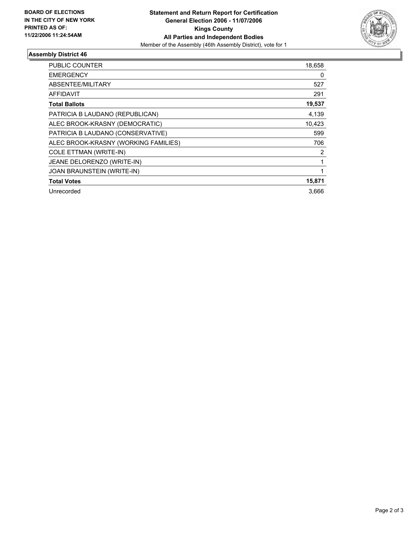

## **Assembly District 46**

| <b>PUBLIC COUNTER</b>                | 18,658 |
|--------------------------------------|--------|
| <b>EMERGENCY</b>                     | 0      |
| ABSENTEE/MILITARY                    | 527    |
| AFFIDAVIT                            | 291    |
| <b>Total Ballots</b>                 | 19,537 |
| PATRICIA B LAUDANO (REPUBLICAN)      | 4,139  |
| ALEC BROOK-KRASNY (DEMOCRATIC)       | 10,423 |
| PATRICIA B LAUDANO (CONSERVATIVE)    | 599    |
| ALEC BROOK-KRASNY (WORKING FAMILIES) | 706    |
| <b>COLE ETTMAN (WRITE-IN)</b>        | 2      |
| JEANE DELORENZO (WRITE-IN)           |        |
| JOAN BRAUNSTEIN (WRITE-IN)           |        |
| <b>Total Votes</b>                   | 15,871 |
| Unrecorded                           | 3.666  |